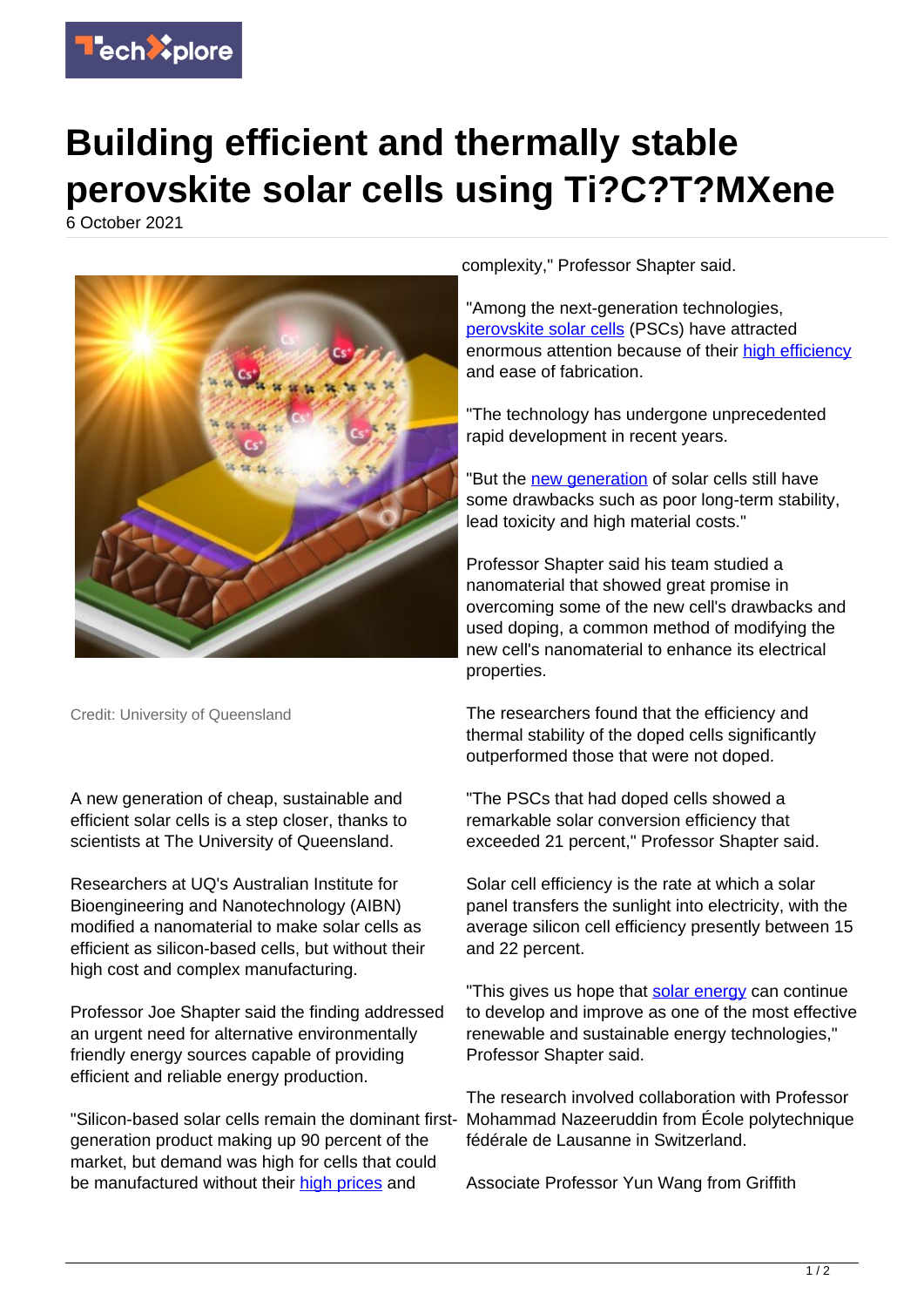

## **Building efficient and thermally stable perovskite solar cells using Ti?C?T?MXene**

6 October 2021



Credit: University of Queensland

A new generation of cheap, sustainable and efficient solar cells is a step closer, thanks to scientists at The University of Queensland.

Researchers at UQ's Australian Institute for Bioengineering and Nanotechnology (AIBN) modified a nanomaterial to make solar cells as efficient as silicon-based cells, but without their high cost and complex manufacturing.

Professor Joe Shapter said the finding addressed an urgent need for alternative environmentally friendly energy sources capable of providing efficient and reliable energy production.

"Silicon-based solar cells remain the dominant firstgeneration product making up 90 percent of the market, but demand was high for cells that could be manufactured without their [high prices](https://techxplore.com/tags/high+prices/) and

complexity," Professor Shapter said.

"Among the next-generation technologies, [perovskite solar cells](https://techxplore.com/tags/perovskite+solar+cells/) (PSCs) have attracted enormous attention because of their [high efficiency](https://techxplore.com/tags/high+efficiency/) and ease of fabrication.

"The technology has undergone unprecedented rapid development in recent years.

"But the [new generation](https://techxplore.com/tags/new+generation/) of solar cells still have some drawbacks such as poor long-term stability, lead toxicity and high material costs."

Professor Shapter said his team studied a nanomaterial that showed great promise in overcoming some of the new cell's drawbacks and used doping, a common method of modifying the new cell's nanomaterial to enhance its electrical properties.

The researchers found that the efficiency and thermal stability of the doped cells significantly outperformed those that were not doped.

"The PSCs that had doped cells showed a remarkable solar conversion efficiency that exceeded 21 percent," Professor Shapter said.

Solar cell efficiency is the rate at which a solar panel transfers the sunlight into electricity, with the average silicon cell efficiency presently between 15 and 22 percent.

"This gives us hope that [solar energy](https://techxplore.com/tags/solar+energy/) can continue to develop and improve as one of the most effective renewable and sustainable energy technologies," Professor Shapter said.

The research involved collaboration with Professor Mohammad Nazeeruddin from École polytechnique fédérale de Lausanne in Switzerland.

Associate Professor Yun Wang from Griffith